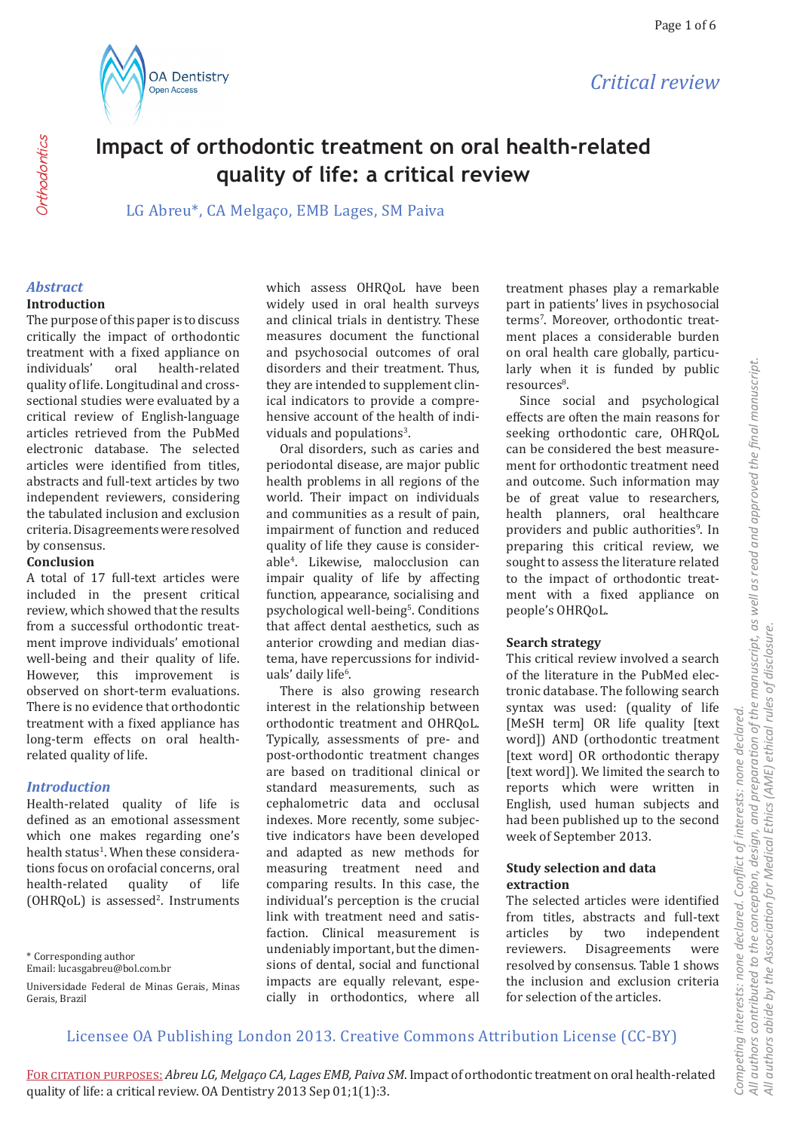



# **Impact of orthodontic treatment on oral health-related quality of life: a critical review**

LG Abreu\*, CA Melgaço, EMB Lages, SM Paiva

# *Abstract*

### **Introduction**

The purpose of this paper is to discuss critically the impact of orthodontic treatment with a fixed appliance on<br>individuals' oral health-related health-related quality of life. Longitudinal and crosssectional studies were evaluated by a critical review of English-language articles retrieved from the PubMed electronic database. The selected articles were identified from titles, abstracts and full-text articles by two independent reviewers, considering the tabulated inclusion and exclusion criteria. Disagreements were resolved by consensus.

#### **Conclusion**

A total of 17 full-text articles were included in the present critical review, which showed that the results from a successful orthodontic treatment improve individuals' emotional well-being and their quality of life.<br>However this improvement is However, this improvement observed on short-term evaluations. There is no evidence that orthodontic treatment with a fixed appliance has long-term effects on oral healthrelated quality of life.

#### *Introduction*

Health-related quality of life is defined as an emotional assessment which one makes regarding one's health status<sup>1</sup>. When these considerations focus on orofacial concerns, oral<br>health-related quality of life health-related quality of life  $(OHRQoL)$  is assessed<sup>2</sup>. Instruments

\* Corresponding author

Email: lucasgabreu@bol.com.br

Universidade Federal de Minas Gerais, Minas Gerais, Brazil

which assess OHRQoL have been widely used in oral health surveys and clinical trials in dentistry. These measures document the functional and psychosocial outcomes of oral disorders and their treatment. Thus, they are intended to supplement clinical indicators to provide a comprehensive account of the health of individuals and populations<sup>3</sup>.

Oral disorders, such as caries and periodontal disease, are major public health problems in all regions of the world. Their impact on individuals and communities as a result of pain, impairment of function and reduced quality of life they cause is considerable<sup>4</sup> . Likewise, malocclusion can impair quality of life by affecting function, appearance, socialising and psychological well-being<sup>5</sup>. Conditions that affect dental aesthetics, such as anterior crowding and median diastema, have repercussions for individuals' daily life<sup>6</sup>.

There is also growing research interest in the relationship between orthodontic treatment and OHRQoL. Typically, assessments of pre- and post-orthodontic treatment changes are based on traditional clinical or standard measurements, such as cephalometric data and occlusal indexes. More recently, some subjective indicators have been developed and adapted as new methods for measuring treatment need and comparing results. In this case, the individual's perception is the crucial link with treatment need and satisfaction. Clinical measurement is undeniably important, but the dimensions of dental, social and functional impacts are equally relevant, especially in orthodontics, where all

treatment phases play a remarkable part in patients' lives in psychosocial terms<sup>7</sup>. Moreover, orthodontic treatment places a considerable burden on oral health care globally, particularly when it is funded by public resources<sup>8</sup>.

Since social and psychological effects are often the main reasons for seeking orthodontic care, OHRQoL can be considered the best measurement for orthodontic treatment need and outcome. Such information may be of great value to researchers, health planners, oral healthcare providers and public authorities<sup>9</sup>. In preparing this critical review, we sought to assess the literature related to the impact of orthodontic treatment with a fixed appliance on people's OHRQoL.

#### **Search strategy**

This critical review involved a search of the literature in the PubMed electronic database. The following search syntax was used: (quality of life [MeSH term] OR life quality [text word]) AND (orthodontic treatment [text word] OR orthodontic therapy [text word]). We limited the search to reports which were written in English, used human subjects and had been published up to the second week of September 2013.

#### **Study selection and data extraction**

The selected articles were identified from titles, abstracts and full-text<br>articles by two independent articles by two independent<br>reviewers. Disagreements were Disagreements resolved by consensus. Table 1 shows the inclusion and exclusion criteria for selection of the articles.

*Competing interests: none declared. Conflict of interests: none declared.* 

Competing interests: none declared. Conflict of interests: none declared.

## Licensee OA Publishing London 2013. Creative Commons Attribution License (CC-BY)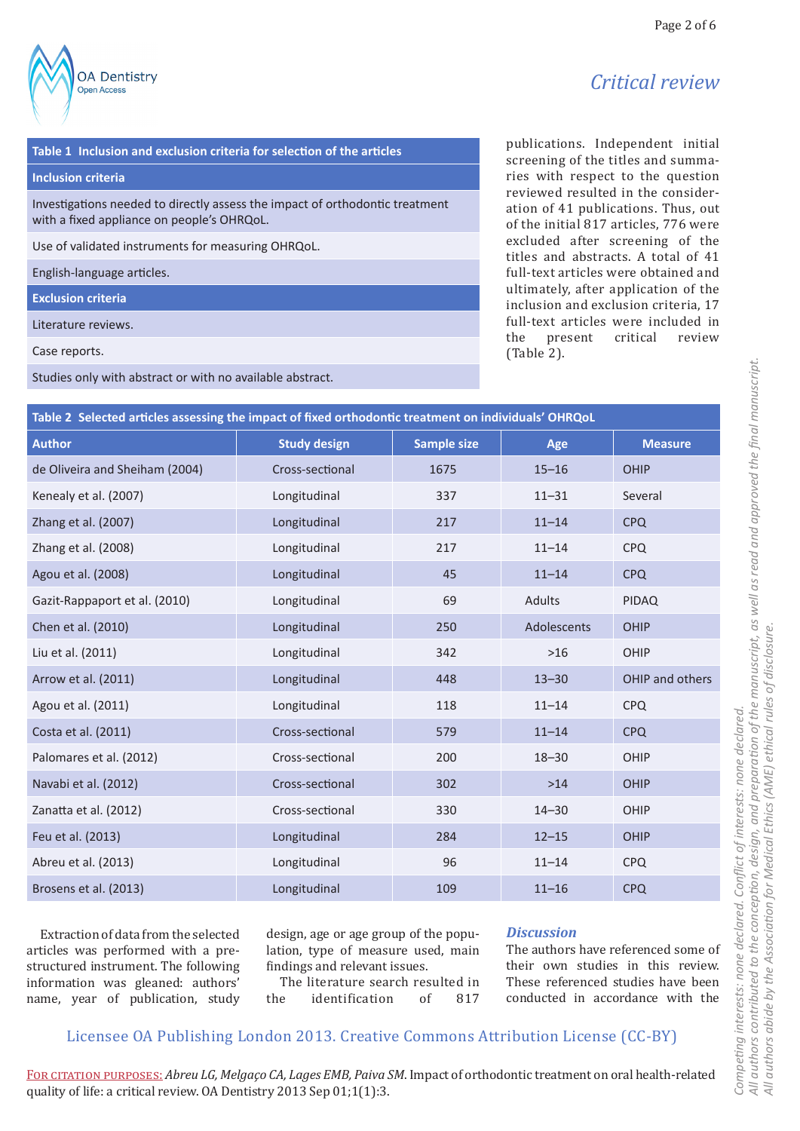# *Critical review*

#### **Table 1 Inclusion and exclusion criteria for selection of the articles**

#### **Inclusion criteria**

Investigations needed to directly assess the impact of orthodontic treatment with a fixed appliance on people's OHRQoL.

Use of validated instruments for measuring OHRQoL.

English-language articles.

**OA Dentistry Open Access** 

**Exclusion criteria**

Literature reviews.

Case reports.

Studies only with abstract or with no available abstract.

publications. Independent initial screening of the titles and summaries with respect to the question reviewed resulted in the consideration of 41 publications. Thus, out of the initial 817 articles, 776 were excluded after screening of the titles and abstracts. A total of 41 full-text articles were obtained and ultimately, after application of the inclusion and exclusion criteria, 17 full-text articles were included in<br>the present critical review present (Table 2).

| Table 2 Selected articles assessing the impact of fixed orthodontic treatment on individuals' OHRQoL |                     |                    |             |                 |
|------------------------------------------------------------------------------------------------------|---------------------|--------------------|-------------|-----------------|
| <b>Author</b>                                                                                        | <b>Study design</b> | <b>Sample size</b> | Age         | <b>Measure</b>  |
| de Oliveira and Sheiham (2004)                                                                       | Cross-sectional     | 1675               | $15 - 16$   | <b>OHIP</b>     |
| Kenealy et al. (2007)                                                                                | Longitudinal        | 337                | $11 - 31$   | Several         |
| Zhang et al. (2007)                                                                                  | Longitudinal        | 217                | $11 - 14$   | <b>CPQ</b>      |
| Zhang et al. (2008)                                                                                  | Longitudinal        | 217                | $11 - 14$   | <b>CPQ</b>      |
| Agou et al. (2008)                                                                                   | Longitudinal        | 45                 | $11 - 14$   | <b>CPQ</b>      |
| Gazit-Rappaport et al. (2010)                                                                        | Longitudinal        | 69                 | Adults      | <b>PIDAQ</b>    |
| Chen et al. (2010)                                                                                   | Longitudinal        | 250                | Adolescents | <b>OHIP</b>     |
| Liu et al. (2011)                                                                                    | Longitudinal        | 342                | $>16$       | OHIP            |
| Arrow et al. (2011)                                                                                  | Longitudinal        | 448                | $13 - 30$   | OHIP and others |
| Agou et al. (2011)                                                                                   | Longitudinal        | 118                | $11 - 14$   | <b>CPQ</b>      |
| Costa et al. (2011)                                                                                  | Cross-sectional     | 579                | $11 - 14$   | <b>CPQ</b>      |
| Palomares et al. (2012)                                                                              | Cross-sectional     | 200                | $18 - 30$   | OHIP            |
| Navabi et al. (2012)                                                                                 | Cross-sectional     | 302                | $>14$       | <b>OHIP</b>     |
| Zanatta et al. (2012)                                                                                | Cross-sectional     | 330                | $14 - 30$   | OHIP            |
| Feu et al. (2013)                                                                                    | Longitudinal        | 284                | $12 - 15$   | OHIP            |
| Abreu et al. (2013)                                                                                  | Longitudinal        | 96                 | $11 - 14$   | <b>CPQ</b>      |
| Brosens et al. (2013)                                                                                | Longitudinal        | 109                | $11 - 16$   | <b>CPQ</b>      |

Extraction of data from the selected articles was performed with a prestructured instrument. The following information was gleaned: authors' name, year of publication, study

design, age or age group of the population, type of measure used, main findings and relevant issues.

The literature search resulted in<br>the identification of 817 identification

## *Discussion*

The authors have referenced some of their own studies in this review. These referenced studies have been conducted in accordance with the

## Licensee OA Publishing London 2013. Creative Commons Attribution License (CC-BY)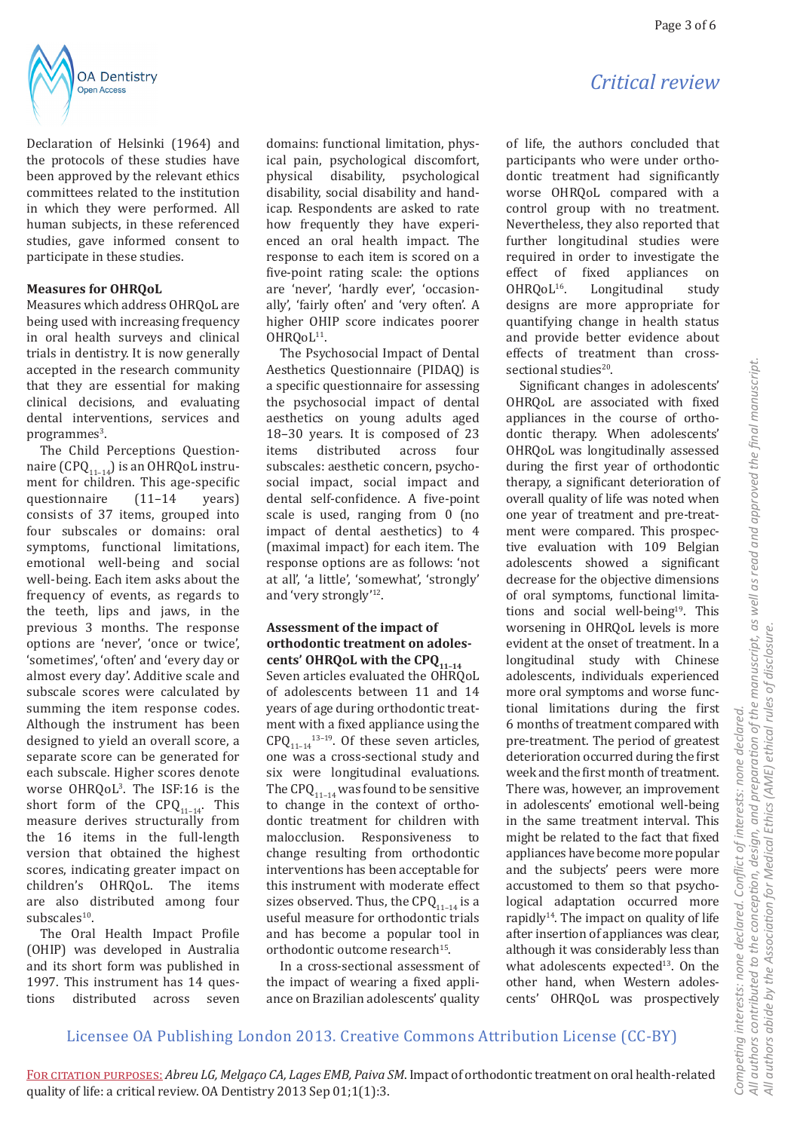

Declaration of Helsinki (1964) and the protocols of these studies have been approved by the relevant ethics committees related to the institution in which they were performed. All human subjects, in these referenced studies, gave informed consent to participate in these studies.

#### **Measures for OHRQoL**

Measures which address OHRQoL are being used with increasing frequency in oral health surveys and clinical trials in dentistry. It is now generally accepted in the research community that they are essential for making clinical decisions, and evaluating dental interventions, services and programmes<sup>3</sup>.

The Child Perceptions Questionnaire (CPQ $_{11-14}$ ) is an OHRQoL instrument for children. This age-specific<br>questionnaire (11-14 years) questionnaire consists of 37 items, grouped into four subscales or domains: oral symptoms, functional limitations, emotional well-being and social well-being. Each item asks about the frequency of events, as regards to the teeth, lips and jaws, in the previous 3 months. The response options are 'never', 'once or twice', 'sometimes', 'often' and 'every day or almost every day'. Additive scale and subscale scores were calculated by summing the item response codes. Although the instrument has been designed to yield an overall score, a separate score can be generated for each subscale. Higher scores denote worse OHRQoL<sup>3</sup> . The ISF:16 is the short form of the  $\text{CPQ}_{11-14}$ . This measure derives structurally from the 16 items in the full-length version that obtained the highest scores, indicating greater impact on children's OHRQoL. The items are also distributed among four subscales<sup>10</sup>.

The Oral Health Impact Profile (OHIP) was developed in Australia and its short form was published in 1997. This instrument has 14 ques-<br>tions distributed across seven tions distributed across seven

domains: functional limitation, physical pain, psychological discomfort, physical disability, psychological disability, social disability and handicap. Respondents are asked to rate how frequently they have experienced an oral health impact. The response to each item is scored on a five-point rating scale: the options are 'never', 'hardly ever', 'occasionally', 'fairly often' and 'very often'. A higher OHIP score indicates poorer  $OH RQoL<sup>11</sup>.$ 

The Psychosocial Impact of Dental Aesthetics Questionnaire (PIDAQ) is a specific questionnaire for assessing the psychosocial impact of dental aesthetics on young adults aged 18–30 years. It is composed of 23 items distributed across four subscales: aesthetic concern, psychosocial impact, social impact and dental self-confidence. A five-point scale is used, ranging from 0 (no impact of dental aesthetics) to 4 (maximal impact) for each item. The response options are as follows: 'not at all', 'a little', 'somewhat', 'strongly' and 'very strongly'12.

### **Assessment of the impact of orthodontic treatment on adoles**cents' OHRQoL with the CPQ<sub>11-14</sub>

Seven articles evaluated the OHRQoL of adolescents between 11 and 14 years of age during orthodontic treatment with a fixed appliance using the  $CPQ_{11-14}^{13-19}$ . Of these seven articles, one was a cross-sectional study and six were longitudinal evaluations. The CPQ $_{11-14}$  was found to be sensitive to change in the context of orthodontic treatment for children with malocclusion. Responsiveness to change resulting from orthodontic interventions has been acceptable for this instrument with moderate effect sizes observed. Thus, the CPQ $_{11-14}$  is a useful measure for orthodontic trials and has become a popular tool in orthodontic outcome research<sup>15</sup>.

In a cross-sectional assessment of the impact of wearing a fixed appliance on Brazilian adolescents' quality

# *Critical review*

of life, the authors concluded that participants who were under orthodontic treatment had significantly worse OHRQoL compared with a control group with no treatment. Nevertheless, they also reported that further longitudinal studies were required in order to investigate the<br>effect of fixed appliances on effect of fixed appliances on<br>OHRQoL<sup>16</sup>. Longitudinal study Longitudinal designs are more appropriate for quantifying change in health status and provide better evidence about effects of treatment than crosssectional studies $20$ .

Significant changes in adolescents' OHRQoL are associated with fixed appliances in the course of orthodontic therapy. When adolescents' OHRQoL was longitudinally assessed during the first year of orthodontic therapy, a significant deterioration of overall quality of life was noted when one year of treatment and pre-treatment were compared. This prospective evaluation with 109 Belgian adolescents showed a significant decrease for the objective dimensions of oral symptoms, functional limitations and social well-being<sup>19</sup>. This worsening in OHRQoL levels is more evident at the onset of treatment. In a longitudinal study with Chinese adolescents, individuals experienced more oral symptoms and worse functional limitations during the first 6 months of treatment compared with pre-treatment. The period of greatest deterioration occurred during the first week and the first month of treatment. There was, however, an improvement in adolescents' emotional well-being in the same treatment interval. This might be related to the fact that fixed appliances have become more popular and the subjects' peers were more accustomed to them so that psychological adaptation occurred more rapidly $14$ . The impact on quality of life after insertion of appliances was clear, although it was considerably less than what adolescents expected<sup>13</sup>. On the other hand, when Western adolescents' OHRQoL was prospectively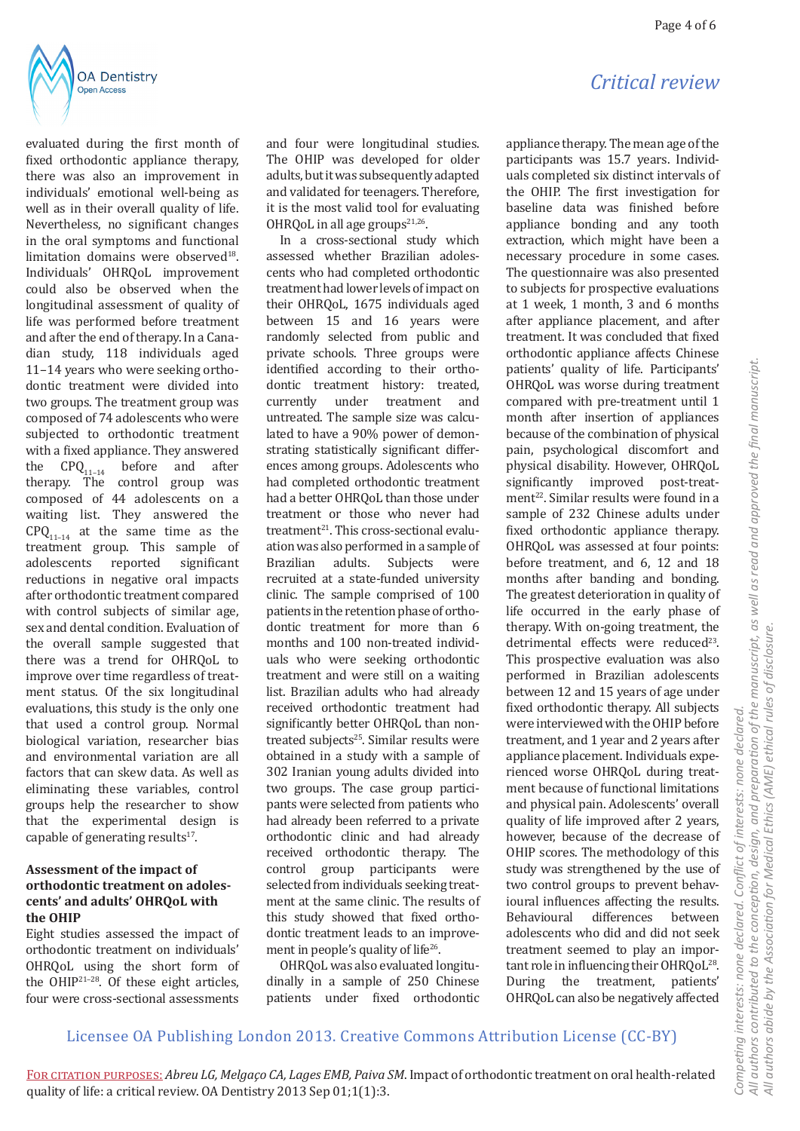



evaluated during the first month of fixed orthodontic appliance therapy. there was also an improvement in individuals' emotional well-being as well as in their overall quality of life. Nevertheless, no significant changes in the oral symptoms and functional limitation domains were observed<sup>18</sup>. Individuals' OHRQoL improvement could also be observed when the longitudinal assessment of quality of life was performed before treatment and after the end of therapy. In a Canadian study, 118 individuals aged 11–14 years who were seeking orthodontic treatment were divided into two groups. The treatment group was composed of 74 adolescents who were subjected to orthodontic treatment with a fixed appliance. They answered the  $CPQ_{11-14}$  before and after therapy. The control group was composed of 44 adolescents on a waiting list. They answered the  $CPQ_{11-14}$  at the same time as the treatment group. This sample of<br>adolescents reported significant significant reductions in negative oral impacts after orthodontic treatment compared with control subjects of similar age, sex and dental condition. Evaluation of the overall sample suggested that there was a trend for OHRQoL to improve over time regardless of treatment status. Of the six longitudinal evaluations, this study is the only one that used a control group. Normal biological variation, researcher bias and environmental variation are all factors that can skew data. As well as eliminating these variables, control groups help the researcher to show that the experimental design is capable of generating results<sup>17</sup>.

#### **Assessment of the impact of orthodontic treatment on adolescents' and adults' OHRQoL with the OHIP**

Eight studies assessed the impact of orthodontic treatment on individuals' OHRQoL using the short form of the OHIP21–28. Of these eight articles, four were cross-sectional assessments

and four were longitudinal studies. The OHIP was developed for older adults, but it was subsequently adapted and validated for teenagers. Therefore, it is the most valid tool for evaluating OHRQoL in all age groups $21,26$ .

In a cross-sectional study which assessed whether Brazilian adolescents who had completed orthodontic treatment had lower levels of impact on their OHRQoL, 1675 individuals aged between 15 and 16 years were randomly selected from public and private schools. Three groups were identified according to their orthodontic treatment history: treated,<br>currently under treatment and treatment untreated. The sample size was calculated to have a 90% power of demonstrating statistically significant differences among groups. Adolescents who had completed orthodontic treatment had a better OHRQoL than those under treatment or those who never had treatment<sup>21</sup>. This cross-sectional evaluation was also performed in a sample of<br>Brazilian adults. Subjects were Subjects recruited at a state-funded university clinic. The sample comprised of 100 patients in the retention phase of orthodontic treatment for more than 6 months and 100 non-treated individuals who were seeking orthodontic treatment and were still on a waiting list. Brazilian adults who had already received orthodontic treatment had significantly better OHRQoL than nontreated subjects $25$ . Similar results were obtained in a study with a sample of 302 Iranian young adults divided into two groups. The case group participants were selected from patients who had already been referred to a private orthodontic clinic and had already received orthodontic therapy. The control group participants were selected from individuals seeking treatment at the same clinic. The results of this study showed that fixed orthodontic treatment leads to an improvement in people's quality of life<sup>26</sup>.

OHRQoL was also evaluated longitudinally in a sample of 250 Chinese patients under fixed orthodontic appliance therapy. The mean age of the participants was 15.7 years. Individuals completed six distinct intervals of the OHIP. The first investigation for baseline data was finished before appliance bonding and any tooth extraction, which might have been a necessary procedure in some cases. The questionnaire was also presented to subjects for prospective evaluations at 1 week, 1 month, 3 and 6 months after appliance placement, and after treatment. It was concluded that fixed orthodontic appliance affects Chinese patients' quality of life. Participants' OHRQoL was worse during treatment compared with pre-treatment until 1 month after insertion of appliances because of the combination of physical pain, psychological discomfort and physical disability. However, OHRQoL significantly improved post-treatment<sup>22</sup>. Similar results were found in a sample of 232 Chinese adults under fixed orthodontic appliance therapy. OHRQoL was assessed at four points: before treatment, and 6, 12 and 18 months after banding and bonding. The greatest deterioration in quality of life occurred in the early phase of therapy. With on-going treatment, the detrimental effects were reduced<sup>23</sup>. This prospective evaluation was also performed in Brazilian adolescents between 12 and 15 years of age under fixed orthodontic therapy. All subjects were interviewed with the OHIP before treatment, and 1 year and 2 years after appliance placement. Individuals experienced worse OHRQoL during treatment because of functional limitations and physical pain. Adolescents' overall quality of life improved after 2 years, however, because of the decrease of OHIP scores. The methodology of this study was strengthened by the use of two control groups to prevent behavioural influences affecting the results. Behavioural adolescents who did and did not seek treatment seemed to play an important role in influencing their OHROoL<sup>28</sup>. During the treatment, patients' OHRQoL can also be negatively affected

## Licensee OA Publishing London 2013. Creative Commons Attribution License (CC-BY)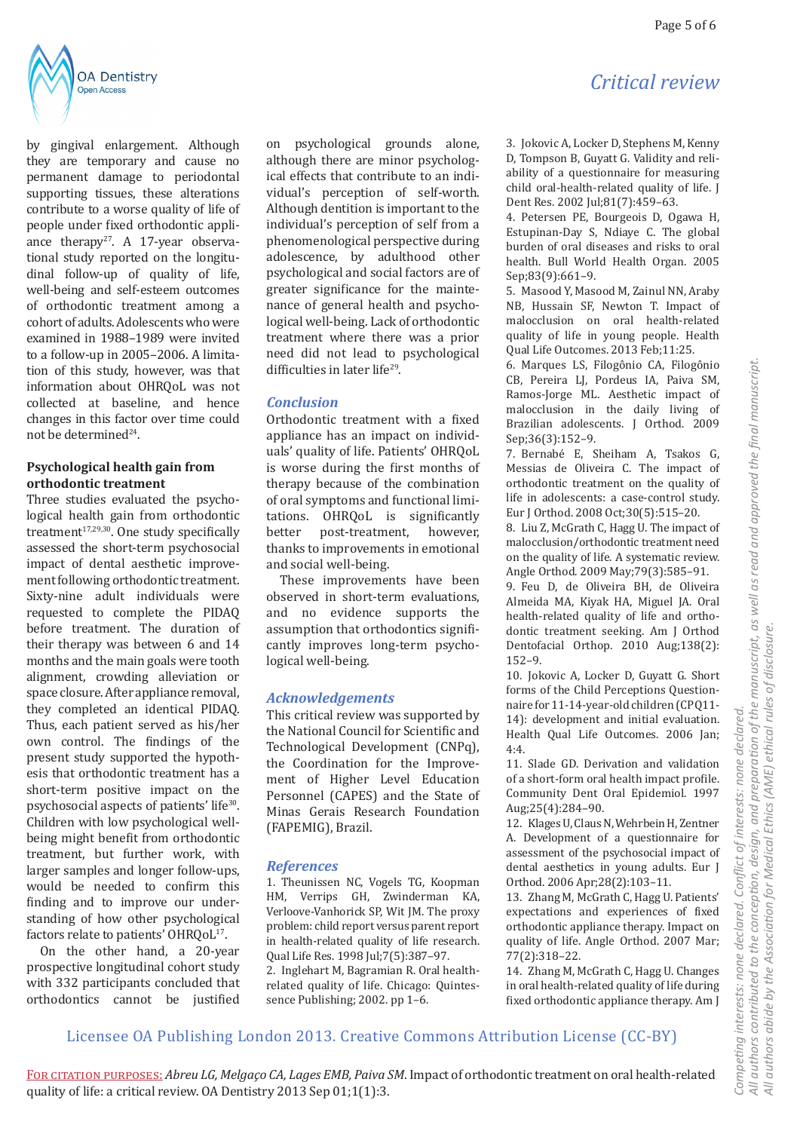

by gingival enlargement. Although they are temporary and cause no permanent damage to periodontal supporting tissues, these alterations contribute to a worse quality of life of people under fixed orthodontic appliance therapy<sup>27</sup>. A 17-year observational study reported on the longitudinal follow-up of quality of life, well-being and self-esteem outcomes of orthodontic treatment among a cohort of adults. Adolescents who were examined in 1988–1989 were invited to a follow-up in 2005–2006. A limitation of this study, however, was that information about OHRQoL was not collected at baseline, and hence changes in this factor over time could not be determined<sup>24</sup>.

### **Psychological health gain from orthodontic treatment**

Three studies evaluated the psychological health gain from orthodontic treatment $17,29,30$ . One study specifically assessed the short-term psychosocial impact of dental aesthetic improvement following orthodontic treatment. Sixty-nine adult individuals were requested to complete the PIDAQ before treatment. The duration of their therapy was between 6 and 14 months and the main goals were tooth alignment, crowding alleviation or space closure. After appliance removal, they completed an identical PIDAQ. Thus, each patient served as his/her own control. The findings of the present study supported the hypothesis that orthodontic treatment has a short-term positive impact on the psychosocial aspects of patients' life<sup>30</sup>. Children with low psychological wellbeing might benefit from orthodontic treatment, but further work, with larger samples and longer follow-ups, would be needed to confirm this finding and to improve our understanding of how other psychological factors relate to patients' OHRQoL<sup>17</sup>.

On the other hand, a 20-year prospective longitudinal cohort study with 332 participants concluded that orthodontics cannot be justified on psychological grounds alone, although there are minor psychological effects that contribute to an individual's perception of self-worth. Although dentition is important to the individual's perception of self from a phenomenological perspective during adolescence, by adulthood other psychological and social factors are of greater significance for the maintenance of general health and psychological well-being. Lack of orthodontic treatment where there was a prior need did not lead to psychological difficulties in later life<sup>29</sup>.

## *Conclusion*

Orthodontic treatment with a fixed appliance has an impact on individuals' quality of life. Patients' OHRQoL is worse during the first months of therapy because of the combination of oral symptoms and functional limitations. OHRQoL is significantly<br>better post-treatment, however, post-treatment, thanks to improvements in emotional and social well-being.

These improvements have been observed in short-term evaluations, and no evidence supports the assumption that orthodontics significantly improves long-term psychological well-being.

## *Acknowledgements*

This critical review was supported by the National Council for Scientific and Technological Development (CNPq), the Coordination for the Improvement of Higher Level Education Personnel (CAPES) and the State of Minas Gerais Research Foundation (FAPEMIG), Brazil.

## *References*

1. Theunissen NC, Vogels TG, Koopman HM, Verrips GH, Zwinderman KA, Verloove-Vanhorick SP, Wit JM. The proxy problem: child report versus parent report in health-related quality of life research. Qual Life Res. 1998 Jul;7(5):387–97. 2. Inglehart M, Bagramian R. Oral healthrelated quality of life. Chicago: Quintessence Publishing; 2002. pp 1–6.

# *Critical review*

3. Jokovic A, Locker D, Stephens M, Kenny D, Tompson B, Guyatt G. Validity and reliability of a questionnaire for measuring child oral-health-related quality of life. J Dent Res. 2002 Jul;81(7):459–63.

4. Petersen PE, Bourgeois D, Ogawa H, Estupinan-Day S, Ndiaye C. The global burden of oral diseases and risks to oral health. Bull World Health Organ. 2005 Sep;83(9):661–9.

5. Masood Y, Masood M, Zainul NN, Araby NB, Hussain SF, Newton T. Impact of malocclusion on oral health-related quality of life in young people. Health Qual Life Outcomes. 2013 Feb;11:25.

6. Marques LS, Filogônio CA, Filogônio CB, Pereira LJ, Pordeus IA, Paiva SM, Ramos-Jorge ML. Aesthetic impact of malocclusion in the daily living of Brazilian adolescents. J Orthod. 2009 Sep;36(3):152–9.

7. Bernabé E, Sheiham A, Tsakos G, Messias de Oliveira C. The impact of orthodontic treatment on the quality of life in adolescents: a case-control study. Eur J Orthod. 2008 Oct;30(5):515–20.

8. Liu Z, McGrath C, Hagg U. The impact of malocclusion/orthodontic treatment need on the quality of life. A systematic review. Angle Orthod. 2009 May;79(3):585–91.

9. Feu D, de Oliveira BH, de Oliveira Almeida MA, Kiyak HA, Miguel JA. Oral health-related quality of life and orthodontic treatment seeking. Am J Orthod Dentofacial Orthop. 2010 Aug;138(2): 152–9.

10. Jokovic A, Locker D, Guyatt G. Short forms of the Child Perceptions Questionnaire for 11-14-year-old children (CPQ11- 14): development and initial evaluation. Health Qual Life Outcomes. 2006 Jan; 4:4.

11. Slade GD. Derivation and validation of a short-form oral health impact profile. Community Dent Oral Epidemiol. 1997 Aug;25(4):284–90.

12. Klages U, Claus N, Wehrbein H, Zentner A. Development of a questionnaire for assessment of the psychosocial impact of dental aesthetics in young adults. Eur J Orthod. 2006 Apr;28(2):103–11.

13. Zhang M, McGrath C, Hagg U. Patients' expectations and experiences of fixed orthodontic appliance therapy. Impact on quality of life. Angle Orthod. 2007 Mar; 77(2):318–22.

14. Zhang M, McGrath C, Hagg U. Changes in oral health-related quality of life during fixed orthodontic appliance therapy. Am J